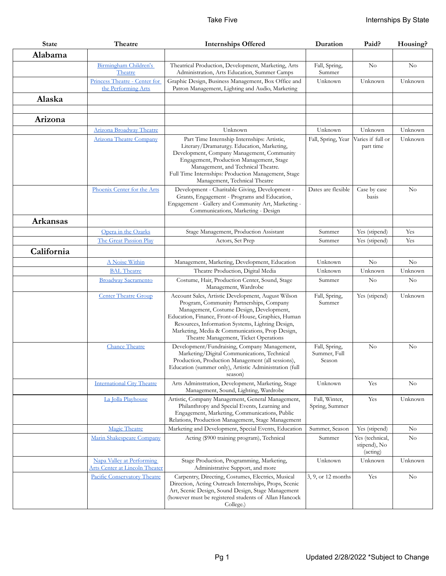| <b>State</b>    | Theatre                                                            | <b>Internships Offered</b>                                                                                                                                                                                                                                                                                                                        | Duration                                | Paid?                                       | Housing? |
|-----------------|--------------------------------------------------------------------|---------------------------------------------------------------------------------------------------------------------------------------------------------------------------------------------------------------------------------------------------------------------------------------------------------------------------------------------------|-----------------------------------------|---------------------------------------------|----------|
| Alabama         |                                                                    |                                                                                                                                                                                                                                                                                                                                                   |                                         |                                             |          |
|                 | Birmingham Children's<br>Theatre                                   | Theatrical Production, Development, Marketing, Arts<br>Administration, Arts Education, Summer Camps                                                                                                                                                                                                                                               | Fall, Spring,<br>Summer                 | $\rm No$                                    | No       |
|                 | Princess Theatre - Center for<br>the Performing Arts               | Graphic Design, Business Management, Box Office and<br>Patron Management, Lighting and Audio, Marketing                                                                                                                                                                                                                                           | Unknown                                 | Unknown                                     | Unknown  |
| Alaska          |                                                                    |                                                                                                                                                                                                                                                                                                                                                   |                                         |                                             |          |
|                 |                                                                    |                                                                                                                                                                                                                                                                                                                                                   |                                         |                                             |          |
| Arizona         |                                                                    |                                                                                                                                                                                                                                                                                                                                                   |                                         |                                             |          |
|                 | Arizona Broadway Theatre                                           | Unknown                                                                                                                                                                                                                                                                                                                                           | Unknown                                 | Unknown                                     | Unknown  |
|                 | <b>Arizona Theatre Company</b>                                     | Part Time Internship Internships: Artistic,<br>Literary/Dramaturgy. Education, Marketing,<br>Development, Company Management, Community<br>Engagement, Production Management, Stage<br>Management, and Technical Theatre.<br>Full Time Internships: Production Management, Stage<br>Management, Technical Theatre                                 | Fall, Spring, Year                      | Varies if full or<br>part time              | Unknown  |
|                 | Phoenix Center for the Arts                                        | Development - Charitable Giving, Development -<br>Grants, Engagement - Programs and Education,<br>Engagement - Gallery and Community Art, Marketing -<br>Communications, Marketing - Design                                                                                                                                                       | Dates are flexible                      | Case by case<br>basis                       | No       |
| <b>Arkansas</b> |                                                                    |                                                                                                                                                                                                                                                                                                                                                   |                                         |                                             |          |
|                 | Opera in the Ozarks                                                | Stage Management, Production Assistant                                                                                                                                                                                                                                                                                                            | Summer                                  | Yes (stipend)                               | Yes      |
|                 | The Great Passion Play                                             | Actors, Set Prep                                                                                                                                                                                                                                                                                                                                  | Summer                                  | Yes (stipend)                               | Yes      |
| California      |                                                                    |                                                                                                                                                                                                                                                                                                                                                   |                                         |                                             |          |
|                 | A Noise Within                                                     | Management, Marketing, Development, Education                                                                                                                                                                                                                                                                                                     | Unknown                                 | No                                          | No       |
|                 | <b>BAL</b> Theatre                                                 | Theatre Production, Digital Media                                                                                                                                                                                                                                                                                                                 | Unknown                                 | Unknown                                     | Unknown  |
|                 | <b>Broadway Sacramento</b>                                         | Costume, Hair, Production Center, Sound, Stage<br>Management, Wardrobe                                                                                                                                                                                                                                                                            | Summer                                  | No                                          | No       |
|                 | <b>Center Theatre Group</b>                                        | Account Sales, Artistic Development, August Wilson<br>Program, Community Partnerships, Company<br>Management, Costume Design, Development,<br>Education, Finance, Front-of-House, Graphics, Human<br>Resources, Information Systems, Lighting Design,<br>Marketing, Media & Communications, Prop Design,<br>Theatre Management, Ticket Operations | Fall, Spring,<br>Summer                 | Yes (stipend)                               | Unknown  |
|                 | <b>Chance Theatre</b>                                              | Development/Fundraising, Company Management,<br>Marketing/Digital Communications, Technical<br>Production, Production Management (all sessions),<br>Education (summer only), Artistic Administration (full<br>season)                                                                                                                             | Fall, Spring,<br>Summer, Full<br>Season | $\rm No$                                    | No       |
|                 | <b>International City Theatre</b>                                  | Arts Adminstration, Development, Marketing, Stage<br>Management, Sound, Lighting, Wardrobe                                                                                                                                                                                                                                                        | Unknown                                 | Yes                                         | $\rm No$ |
|                 | La Jolla Playhouse                                                 | Artistic, Company Management, General Management,<br>Philanthropy and Special Events, Learning and<br>Engagement, Marketing, Communications, Public<br>Relations, Production Management, Stage Management                                                                                                                                         | Fall, Winter,<br>Spring, Summer         | Yes                                         | Unknown  |
|                 | Magic Theatre                                                      | Marketing and Development, Special Events, Education                                                                                                                                                                                                                                                                                              | Summer, Season                          | Yes (stipend)                               | No       |
|                 | Marin Shakespeare Company                                          | Acting (\$900 training program), Technical                                                                                                                                                                                                                                                                                                        | Summer                                  | Yes (technical,<br>stipend), No<br>(acting) | $\rm No$ |
|                 | Napa Valley at Performing<br><b>Arts Center at Lincoln Theater</b> | Stage Production, Programming, Marketing,<br>Administrative Support, and more                                                                                                                                                                                                                                                                     | Unknown                                 | Unknown                                     | Unknown  |
|                 | Pacific Conservatory Theatre                                       | Carpentry, Directing, Costumes, Electrics, Musical<br>Direction, Acting Outreach Internships, Props, Scenic<br>Art, Scenic Design, Sound Design, Stage Management<br>(however must be registered students of Allan Hancock<br>College.)                                                                                                           | 3, 9, or 12 months                      | Yes                                         | No       |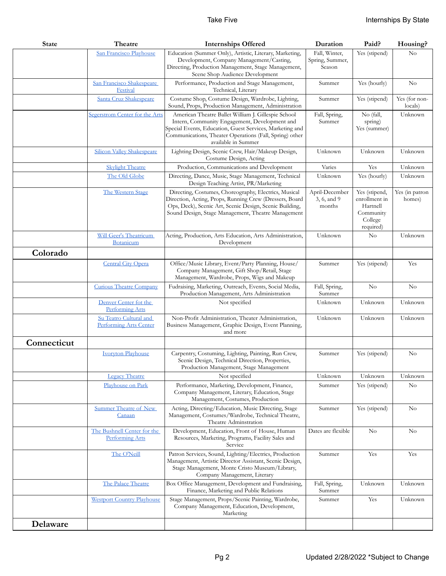| <b>State</b> | Theatre                                               | <b>Internships Offered</b>                                                                                                                                                                                                                         | Duration                                | Paid?                                                                           | Housing?                 |
|--------------|-------------------------------------------------------|----------------------------------------------------------------------------------------------------------------------------------------------------------------------------------------------------------------------------------------------------|-----------------------------------------|---------------------------------------------------------------------------------|--------------------------|
|              | San Francisco Playhouse                               | Education (Summer Only), Artistic, Literary, Marketing,                                                                                                                                                                                            | Fall, Winter,                           | Yes (stipend)                                                                   | No                       |
|              |                                                       | Development, Company Management/Casting,<br>Directing, Production Management, Stage Management,                                                                                                                                                    | Spring, Summer,<br>Season               |                                                                                 |                          |
|              |                                                       | Scene Shop Audience Development                                                                                                                                                                                                                    |                                         |                                                                                 |                          |
|              | San Francisco Shakespeare<br>Festival                 | Performance, Production and Stage Management,<br>Technical, Literary                                                                                                                                                                               | Summer                                  | Yes (hourly)                                                                    | $\rm No$                 |
|              | Santa Cruz Shakespeare                                | Costume Shop, Costume Design, Wardrobe, Lighting,<br>Sound, Props, Production Management, Administration                                                                                                                                           | Summer                                  | Yes (stipend)                                                                   | Yes (for non-<br>locals) |
|              | Segerstrom Center for the Arts                        | American Theatre Ballet William J. Gillespie School<br>Intern, Community Engagement, Development and<br>Special Events, Education, Guest Services, Marketing and<br>Communications, Theater Operations (Fall, Spring) other<br>available in Summer | Fall, Spring,<br>Summer                 | No (fall,<br>spring)<br>Yes (summer)                                            | Unknown                  |
|              | <b>Silicon Valley Shakespeare</b>                     | Lighting Design, Scenic Crew, Hair/Makeup Design,<br>Costume Design, Acting                                                                                                                                                                        | Unknown                                 | Unknown                                                                         | Unknown                  |
|              | <b>Skylight Theatre</b>                               | Production, Communications and Development                                                                                                                                                                                                         | Varies                                  | Yes                                                                             | Unknown                  |
|              | The Old Globe                                         | Directing, Dance, Music, Stage Management, Technical<br>Design Teaching Artist, PR/Marketing                                                                                                                                                       | Unknown                                 | Yes (hourly)                                                                    | Unknown                  |
|              | The Western Stage                                     | Directing, Costumes, Choreography, Electrics, Musical<br>Direction, Acting, Props, Running Crew (Dressers, Board<br>Ops, Deck), Scenic Art, Scenic Design, Scenic Building,<br>Sound Design, Stage Management, Theatre Management                  | April-December<br>3, 6, and 9<br>months | Yes (stipend,<br>enrollment in<br>Hartnell<br>Community<br>College<br>required) | Yes (in patron<br>homes) |
|              | Will Geer's Theatricum<br>Botanicum                   | Acting, Production, Arts Education, Arts Administration,<br>Development                                                                                                                                                                            | Unknown                                 | No                                                                              | Unknown                  |
| Colorado     |                                                       |                                                                                                                                                                                                                                                    |                                         |                                                                                 |                          |
|              | <b>Central City Opera</b>                             | Office/Music Library, Event/Party Planning, House/<br>Company Management, Gift Shop/Retail, Stage<br>Management, Wardrobe, Props, Wigs and Makeup                                                                                                  | Summer                                  | Yes (stipend)                                                                   | Yes                      |
|              | <b>Curious Theatre Company</b>                        | Fudraising, Marketing, Outreach, Events, Social Media,<br>Production Management, Arts Administration                                                                                                                                               | Fall, Spring,<br>Summer                 | No                                                                              | No                       |
|              | Denver Center fot the<br><b>Performing Arts</b>       | Not specified                                                                                                                                                                                                                                      | Unknown                                 | Unknown                                                                         | Unknown                  |
|              | Su Teatro Cultural and<br>Performing Arts Center      | Non-Profit Administration, Theater Administration,<br>Business Management, Graphic Design, Event Planning,<br>and more                                                                                                                             | Unknown                                 | Unknown                                                                         | Unknown                  |
| Connecticut  |                                                       |                                                                                                                                                                                                                                                    |                                         |                                                                                 |                          |
|              | <b>Ivoryton Playhouse</b>                             | Carpentry, Costuming, Lighting, Painting, Run Crew,<br>Scenic Design, Technical Direction, Properties,<br>Production Management, Stage Management                                                                                                  | Summer                                  | Yes (stipend)                                                                   | $\rm No$                 |
|              | <b>Legacy Theatre</b>                                 | Not specified                                                                                                                                                                                                                                      | Unknown                                 | Unknown                                                                         | Unknown                  |
|              | Playhouse on Park                                     | Performance, Marketing, Development, Finance,<br>Company Management, Literary, Education, Stage<br>Management, Costumes, Production                                                                                                                | Summer                                  | Yes (stipend)                                                                   | No                       |
|              | Summer Theatre of New<br>Canaan                       | Acting, Directing/Education, Music Directing, Stage<br>Management, Costumes/Wardrobe, Technical Theatre,<br>Theatre Adminstration                                                                                                                  | Summer                                  | Yes (stipend)                                                                   | No                       |
|              | The Bushnell Center for the<br><b>Performing Arts</b> | Development, Education, Front of House, Human<br>Resources, Marketing, Programs, Facility Sales and<br>Service                                                                                                                                     | Dates are flexible                      | No                                                                              | No                       |
|              | The O'Neill                                           | Patron Services, Sound, Lighting/Electrics, Production<br>Management, Artistic Director Assistant, Scenic Design,<br>Stage Management, Monte Cristo Museum/Library,<br>Company Management, Literary                                                | Summer                                  | Yes                                                                             | Yes                      |
|              | The Palace Theatre                                    | Box Office Management, Development and Fundraising,<br>Finance, Marketing and Public Relations                                                                                                                                                     | Fall, Spring,<br>Summer                 | Unknown                                                                         | Unknown                  |
|              | <b>Westport Country Playhouse</b>                     | Stage Management, Props/Scenic Painting, Wardrobe,<br>Company Management, Education, Development,<br>Marketing                                                                                                                                     | Summer                                  | Yes                                                                             | Unknown                  |
| Delaware     |                                                       |                                                                                                                                                                                                                                                    |                                         |                                                                                 |                          |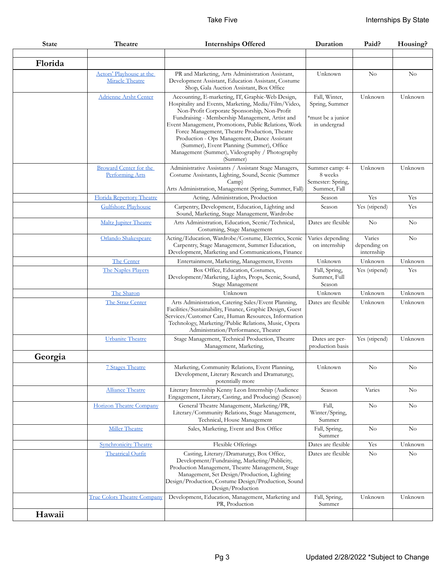| <b>State</b> | Theatre                                                 | <b>Internships Offered</b>                                                                                                                                                                                                                                                                                                                                                                                                                                                      | Duration                                                             | Paid?                                | Housing? |
|--------------|---------------------------------------------------------|---------------------------------------------------------------------------------------------------------------------------------------------------------------------------------------------------------------------------------------------------------------------------------------------------------------------------------------------------------------------------------------------------------------------------------------------------------------------------------|----------------------------------------------------------------------|--------------------------------------|----------|
|              |                                                         |                                                                                                                                                                                                                                                                                                                                                                                                                                                                                 |                                                                      |                                      |          |
| Florida      |                                                         |                                                                                                                                                                                                                                                                                                                                                                                                                                                                                 |                                                                      |                                      |          |
|              | Actors' Playhouse at the<br>Miracle Theatre             | PR and Marketing, Arts Administration Assistant,<br>Development Assistant, Education Assistant, Costume<br>Shop, Gala Auction Assistant, Box Office                                                                                                                                                                                                                                                                                                                             | Unknown                                                              | $\rm No$                             | No       |
|              | <b>Adrienne Arsht Center</b>                            | Accounting, E-marketing, IT, Graphic-Web Design,<br>Hospitality and Events, Marketing, Media/Film/Video,<br>Non-Profit Corporate Sponsorship, Non-Profit<br>Fundraising - Membership Management, Artist and<br>Event Management, Promotions, Public Relations, Work<br>Force Management, Theatre Production, Theatre<br>Production - Ops Management, Dance Assistant<br>(Summer), Event Planning (Summer), Office<br>Management (Summer), Videography / Photography<br>(Summer) | Fall, Winter,<br>Spring, Summer<br>*must be a junior<br>in undergrad | Unknown                              | Unknown  |
|              | <b>Broward Center for the</b><br><b>Performing Arts</b> | Administrative Assistants / Assistant Stage Managers,<br>Costume Assistants, Lighting, Sound, Scenic (Summer<br>Camp)<br>Arts Administration, Management (Spring, Summer, Fall)                                                                                                                                                                                                                                                                                                 | Summer camp: 4-<br>8 weeks<br>Semester: Spring,<br>Summer, Fall      | Unknown                              | Unknown  |
|              | Florida Repertory Theatre                               | Acting, Administration, Production                                                                                                                                                                                                                                                                                                                                                                                                                                              | Season                                                               | Yes                                  | Yes      |
|              | <b>Gulfshore Playhouse</b>                              | Carpentry, Development, Education, Lighting and<br>Sound, Marketing, Stage Management, Wardrobe                                                                                                                                                                                                                                                                                                                                                                                 | Season                                                               | Yes (stipend)                        | Yes      |
|              | <b>Maltz Jupiter Theatre</b>                            | Arts Administration, Education, Scenic/Technical,<br>Costuming, Stage Management                                                                                                                                                                                                                                                                                                                                                                                                | Dates are flexible                                                   | No                                   | No       |
|              | Orlando Shakespeare                                     | Acting/Education, Wardrobe/Costume, Electrics, Scenic<br>Carpentry, Stage Management, Summer Education,<br>Development, Marketing and Communications, Finance                                                                                                                                                                                                                                                                                                                   | Varies depending<br>on internship                                    | Varies<br>depending on<br>internship | No       |
|              | The Center                                              | Entertainment, Marketing, Management, Events                                                                                                                                                                                                                                                                                                                                                                                                                                    | Unknown                                                              | Unknown                              | Unknown  |
|              | The Naples Players                                      | Box Office, Education, Costumes,<br>Development/Marketing, Lights, Props, Scenic, Sound,<br>Stage Management                                                                                                                                                                                                                                                                                                                                                                    | Fall, Spring,<br>Summer, Full<br>Season                              | Yes (stipend)                        | Yes      |
|              | The Sharon                                              | Unknown                                                                                                                                                                                                                                                                                                                                                                                                                                                                         | Unknown                                                              | Unknown                              | Unknown  |
|              | The Straz Center                                        | Arts Administration, Catering Sales/Event Planning,<br>Facilities/Sustainability, Finance, Graphic Design, Guest<br>Services/Customer Care, Human Resources, Information<br>Technology, Marketing/Public Relations, Music, Opera<br>Administration/Performance, Theater                                                                                                                                                                                                         | Dates are flexible                                                   | Unknown                              | Unknown  |
|              | <b>Urbanite Theatre</b>                                 | Stage Management, Technical Production, Theatre<br>Management, Marketing,                                                                                                                                                                                                                                                                                                                                                                                                       | Dates are per-<br>production basis                                   | Yes (stipend)                        | Unknown  |
| Georgia      |                                                         |                                                                                                                                                                                                                                                                                                                                                                                                                                                                                 |                                                                      |                                      |          |
|              | <b>7 Stages Theatre</b>                                 | Marketing, Community Relations, Event Planning,<br>Development, Literary Research and Dramaturgy,<br>potentially more                                                                                                                                                                                                                                                                                                                                                           | $_{\rm Unknown}$                                                     | $\rm No$                             | $\rm No$ |
|              | <b>Alliance Theatre</b>                                 | Literary Internship Kenny Leon Internship (Audience<br>Engagement, Literary, Casting, and Producing) (Season)                                                                                                                                                                                                                                                                                                                                                                   | Season                                                               | Varies                               | No       |
|              | Horizon Theatre Company                                 | General Theatre Management, Marketing/PR,<br>Literary/Community Relations, Stage Management,<br>Technical, House Management                                                                                                                                                                                                                                                                                                                                                     | Fall,<br>Winter/Spring,<br>Summer                                    | $\rm No$                             | No       |
|              | <b>Miller Theatre</b>                                   | Sales, Marketing, Event and Box Office                                                                                                                                                                                                                                                                                                                                                                                                                                          | Fall, Spring,<br>Summer                                              | No                                   | $\rm No$ |
|              | <b>Synchronicity Theatre</b>                            | Flexible Offerings                                                                                                                                                                                                                                                                                                                                                                                                                                                              | Dates are flexible                                                   | Yes                                  | Unknown  |
|              | <b>Theatrical Outfit</b>                                | Casting, Literary/Dramaturgy, Box Office,<br>Development/Fundraising, Marketing/Publicity,<br>Production Management, Theatre Management, Stage<br>Management, Set Design/Production, Lighting<br>Design/Production, Costume Design/Production, Sound<br>Design/Production                                                                                                                                                                                                       | Dates are flexible                                                   | $\rm No$                             | No       |
|              | <b>True Colors Theatre Company</b>                      | Development, Education, Management, Marketing and<br>PR, Production                                                                                                                                                                                                                                                                                                                                                                                                             | Fall, Spring,<br>Summer                                              | Unknown                              | Unknown  |
| Hawaii       |                                                         |                                                                                                                                                                                                                                                                                                                                                                                                                                                                                 |                                                                      |                                      |          |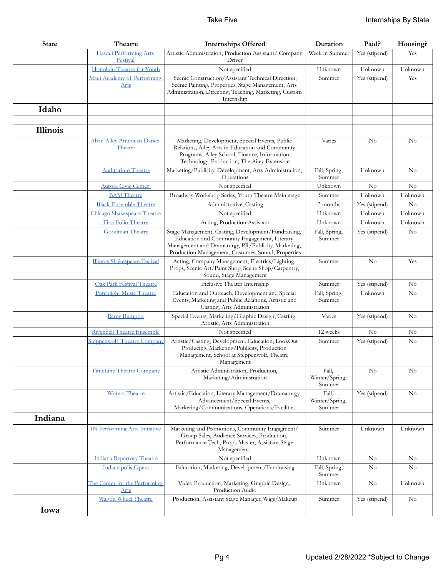| <b>State</b> | Theatre                                      | <b>Internships Offered</b>                                                                                                                                                                                       | Duration                          | Paid?         | Housing? |
|--------------|----------------------------------------------|------------------------------------------------------------------------------------------------------------------------------------------------------------------------------------------------------------------|-----------------------------------|---------------|----------|
|              | Hawaii Performing Arts<br>Festival           | Artistic Administration, Production Assistant/ Company<br>Driver                                                                                                                                                 | Week in Summer                    | Yes (stipend) | Yes      |
|              | Honolulu Theatre for Youth                   | Not specified                                                                                                                                                                                                    | Unknown                           | Unknown       | Unknown  |
|              | Maui Academy of Performing<br><u>Arts</u>    | Scenic Construction/Assistant Technical Direction,<br>Scenic Painting, Properties, Stage Management, Arts<br>Administration, Directing, Teaching, Marketing, Custom<br>Internship                                | Summer                            | Yes (stipend) | Yes      |
| Idaho        |                                              |                                                                                                                                                                                                                  |                                   |               |          |
| Illinois     |                                              |                                                                                                                                                                                                                  |                                   |               |          |
|              | <b>Alvin Ailey American Dance</b><br>Theater | Marketing, Development, Special Events, Public<br>Relations, Ailey Arts in Education and Community<br>Programs, Ailey School, Finance, Information<br>Technology, Production, The Ailey Extension                | Varies                            | $\rm No$      | No       |
|              | <b>Auditorium Theatre</b>                    | Marketing/Publicity, Development, Arts Administration,<br>Operations                                                                                                                                             | Fall, Spring,<br>Summer           | Unknown       | No       |
|              | Aurora Civic Center                          | Not specified                                                                                                                                                                                                    | Unknown                           | No            | No       |
|              | <b>BAM</b> Theatre                           | Broadway Workshop Series, Youth Theatre Maintstage                                                                                                                                                               | Summer                            | Unknown       | Unknown  |
|              | <b>Black Ensemble Theatre</b>                | Administrative, Casting                                                                                                                                                                                          | 3 months                          | Yes (stipend) | No       |
|              | Chicago Shakespeare Theatre                  | Not specified                                                                                                                                                                                                    | Unknown                           | Unknown       | Unknown  |
|              | <b>First Folio Theatre</b>                   | Acting, Production Assistant                                                                                                                                                                                     | Unknown                           | Unknown       | Unknown  |
|              | Goodman Theatre                              | Stage Management, Casting, Development/Fundraising,<br>Education and Community Engagement, Literary<br>Management and Dramaturgy, PR/Publicity, Marketing,<br>Production Management, Costumes, Sound, Properties | Fall, Spring,<br>Summer           | Yes (stipend) | No       |
|              | Illinois Shakespeare Festival                | Acting, Company Management, Electrics/Lighting,<br>Props, Scenic Art/Paint Shop, Scene Shop/Carpentry,<br>Sound, Stage Management                                                                                | Summer                            | No            | Yes      |
|              | Oak Park Festival Theatre                    | Inclusive Theater Internship                                                                                                                                                                                     | Summer                            | Yes (stipend) | No       |
|              | <b>Porchlight Music Theatre</b>              | Education and Outreach, Development and Special<br>Events, Marketing and Public Relations, Artistic and<br>Casting, Arts Administration                                                                          | Fall, Spring,<br>Summer           | Unknown       | No       |
|              | Remy Bumppo                                  | Special Events, Marketing/Graphic Design, Casting,<br>Artistic, Arts Administration                                                                                                                              | Varies                            | Yes (stipend) | $\rm No$ |
|              | <b>Rivendell Theatre Ensemble</b>            | Not specified                                                                                                                                                                                                    | 12 weeks                          | $\rm No$      | No       |
|              | <b>Steppenwolf Theatre Company</b>           | Artistic/Casting, Development, Education, LookOut<br>Producing, Marketing/Publicity, Production<br>Management, School at Steppenwolf, Theatre<br>Management                                                      | Summer                            | Yes (stipend) | $\rm No$ |
|              | <b>TimeLine Theatre Company</b>              | Artistic Administration, Production,<br>Marketing/Administration                                                                                                                                                 | Fall,<br>Winter/Spring,<br>Summer | No            | $\rm No$ |
|              | <b>Writers Theatre</b>                       | Artistic/Education, Literary Management/Dramaturgy,<br>Advancement/Special Events,<br>Marketing/Communications, Operations/Facilities                                                                            | Fall,<br>Winter/Spring,<br>Summer | Yes (stipend) | No       |
| Indiana      |                                              |                                                                                                                                                                                                                  |                                   |               |          |
|              | <b>IN Performing Arts Initiative</b>         | Marketing and Promotions, Community Engagment/<br>Group Sales, Audience Services, Production,<br>Performance Tech, Props Master, Assistant Stage<br>Management,                                                  | Summer                            | Unknown       | Unknown  |
|              | <b>Indiana Repertory Theatre</b>             | Not specified                                                                                                                                                                                                    | Unknown                           | $\rm No$      | No       |
|              | Indianapolis Opera                           | Education, Marketing, Development/Fundraising                                                                                                                                                                    | Fall, Spring,<br>Summer           | No            | No       |
|              | The Center for the Performing<br>Arts        | Video Production, Marketing, Graphic Design,<br>Production Audio                                                                                                                                                 | Unknown                           | No            | Unknown  |
|              | Wagon Wheel Theatre                          | Production, Assistant Stage Manager, Wigs/Makeup                                                                                                                                                                 | Summer                            | Yes (stipend) | $\rm No$ |
| Iowa         |                                              |                                                                                                                                                                                                                  |                                   |               |          |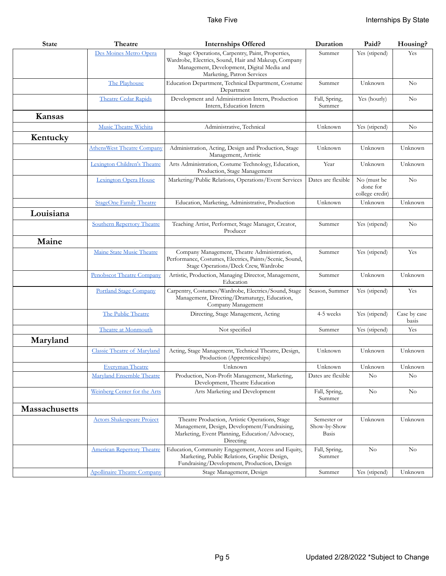| <b>State</b>         | Theatre                            | <b>Internships Offered</b>                                                                                                                                                          | Duration                             | Paid?                                      | Housing?              |
|----------------------|------------------------------------|-------------------------------------------------------------------------------------------------------------------------------------------------------------------------------------|--------------------------------------|--------------------------------------------|-----------------------|
|                      | Des Moines Metro Opera             | Stage Operations, Carpentry, Paint, Properties,<br>Wardrobe, Electrics, Sound, Hair and Makeup, Company<br>Management, Development, Digital Media and<br>Marketing, Patron Services | Summer                               | Yes (stipend)                              | Yes                   |
|                      | The Playhouse                      | Education Department, Technical Department, Costume<br>Department                                                                                                                   | Summer                               | Unknown                                    | No                    |
|                      | <b>Theatre Cedar Rapids</b>        | Development and Administration Intern, Production<br>Intern, Education Intern                                                                                                       | Fall, Spring,<br>Summer              | Yes (hourly)                               | No                    |
| Kansas               |                                    |                                                                                                                                                                                     |                                      |                                            |                       |
|                      | Music Theatre Wichita              | Administrative, Technical                                                                                                                                                           | Unknown                              | Yes (stipend)                              | No                    |
| Kentucky             |                                    |                                                                                                                                                                                     |                                      |                                            |                       |
|                      | <b>AthensWest Theatre Company</b>  | Administration, Acting, Design and Production, Stage<br>Management, Artistic                                                                                                        | Unknown                              | Unknown                                    | Unknown               |
|                      | Lexington Children's Theatre       | Arts Administration, Costume Technology, Education,<br>Production, Stage Management                                                                                                 | Year                                 | Unknown                                    | Unknown               |
|                      | Lexington Opera House              | Marketing/Public Relations, Operations/Event Services                                                                                                                               | Dates are flexible                   | No (must be<br>done for<br>college credit) | No                    |
|                      | <b>StageOne Family Theatre</b>     | Education, Marketing, Administrative, Production                                                                                                                                    | Unknown                              | Unknown                                    | Unknown               |
| Louisiana            |                                    |                                                                                                                                                                                     |                                      |                                            |                       |
|                      | <b>Southern Repertory Theatre</b>  | Teaching Artist, Performer, Stage Manager, Creator,<br>Producer                                                                                                                     | Summer                               | Yes (stipend)                              | $\rm No$              |
| Maine                |                                    |                                                                                                                                                                                     |                                      |                                            |                       |
|                      | Maine State Music Theatre          | Company Management, Theatre Administration,<br>Performance, Costumes, Electrics, Paints/Scenic, Sound,<br>Stage Operations/Deck Crew, Wardrobe                                      | Summer                               | Yes (stipend)                              | Yes                   |
|                      | Penobscot Theatre Company          | Artistic, Production, Managing Director, Management,<br>Education                                                                                                                   | Summer                               | Unknown                                    | Unknown               |
|                      | <b>Portland Stage Company</b>      | Carpentry, Costumes/Wardrobe, Electrics/Sound, Stage<br>Management, Directing/Dramaturgy, Education,<br>Company Management                                                          | Season, Summer                       | Yes (stipend)                              | Yes                   |
|                      | The Public Theatre                 | Directing, Stage Management, Acting                                                                                                                                                 | 4-5 weeks                            | Yes (stipend)                              | Case by case<br>basis |
|                      | Theatre at Monmouth                | Not specified                                                                                                                                                                       | Summer                               | Yes (stipend)                              | Yes                   |
| Maryland             |                                    |                                                                                                                                                                                     |                                      |                                            |                       |
|                      | <b>Classic Theatre of Maryland</b> | Acting, Stage Management, Technical Theatre, Design,<br>Production (Apprenticeships)                                                                                                | Unknown                              | Unknown                                    | Unknown               |
|                      | <u>Everyman Theatre</u>            | Unknown                                                                                                                                                                             | Unknown                              | Unknown                                    | Unknown               |
|                      | Maryland Ensemble Theatre          | Production, Non-Profit Management, Marketing,<br>Development, Theatre Education                                                                                                     | Dates are flexible                   | $\rm No$                                   | $\rm No$              |
|                      | Weinberg Center for the Arts       | Arts Marketing and Development                                                                                                                                                      | Fall, Spring,<br>Summer              | $\rm No$                                   | No                    |
| <b>Massachusetts</b> |                                    |                                                                                                                                                                                     |                                      |                                            |                       |
|                      | <b>Actors Shakespeare Project</b>  | Theatre Production, Artistic Operations, Stage<br>Management, Design, Development/Fundraising,<br>Marketing, Event Planning, Education/Advocacy,<br>Directing                       | Semester or<br>Show-by-Show<br>Basis | Unknown                                    | Unknown               |
|                      | <b>American Repertory Theatre</b>  | Education, Community Engagement, Access and Equity,<br>Marketing, Public Relations, Graphic Design,<br>Fundraising/Development, Production, Design                                  | Fall, Spring,<br>Summer              | $\rm No$                                   | No                    |
|                      | <b>Apollinaire Theatre Company</b> | Stage Management, Design                                                                                                                                                            | Summer                               | Yes (stipend)                              | Unknown               |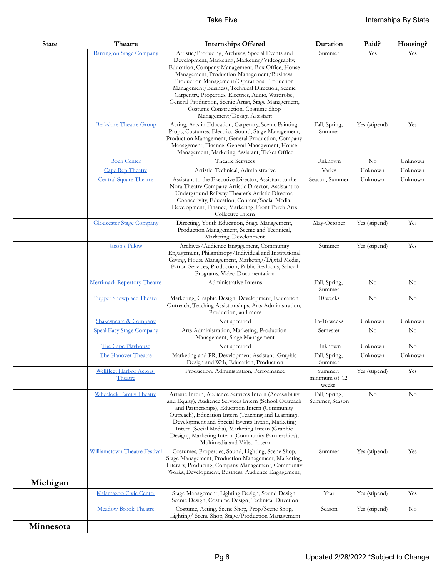| <b>State</b> | Theatre                            | <b>Internships Offered</b>                                                                                                                                                                                                                                                                                                                                                                                                                                                                   | Duration                          | Paid?          | Housing? |
|--------------|------------------------------------|----------------------------------------------------------------------------------------------------------------------------------------------------------------------------------------------------------------------------------------------------------------------------------------------------------------------------------------------------------------------------------------------------------------------------------------------------------------------------------------------|-----------------------------------|----------------|----------|
|              | <b>Barrington Stage Company</b>    | Artistic/Producing, Archives, Special Events and<br>Development, Marketing, Marketing/Videography,<br>Education, Company Management, Box Office, House<br>Management, Production Management/Business,<br>Production Management/Operations, Production<br>Management/Business, Technical Direction, Scenic<br>Carpentry, Properties, Electrics, Audio, Wardrobe,<br>General Production, Scenic Artist, Stage Management,<br>Costume Construction, Costume Shop<br>Management/Design Assistant | Summer                            | Yes            | Yes      |
|              | <b>Berkshire Theatre Group</b>     | Acting, Arts in Education, Carpentry, Scenic Painting,<br>Props, Costumes, Electrics, Sound, Stage Management,<br>Production Management, General Production, Company<br>Management, Finance, General Management, House<br>Management, Marketing Assistant, Ticket Office                                                                                                                                                                                                                     | Fall, Spring,<br>Summer           | Yes (stipend)  | Yes      |
|              | <b>Boch Center</b>                 | Theatre Services                                                                                                                                                                                                                                                                                                                                                                                                                                                                             | Unknown                           | $\rm No$       | Unknown  |
|              | Cape Rep Theatre                   | Artistic, Technical, Administrative                                                                                                                                                                                                                                                                                                                                                                                                                                                          | Varies                            | Unknown        | Unknown  |
|              | <b>Central Square Theatre</b>      | Assistant to the Executive Director, Assistant to the<br>Nora Theatre Company Artistic Director, Assistant to<br>Underground Railway Theater's Artistic Director,<br>Connectivity, Education, Content/Social Media,<br>Development, Finance, Marketing, Front Porch Arts<br>Collective Intern                                                                                                                                                                                                | Season, Summer                    | Unknown        | Unknown  |
|              | <b>Gloucester Stage Company</b>    | Directing, Youth Education, Stage Management,<br>Production Management, Scenic and Technical,<br>Marketing, Development                                                                                                                                                                                                                                                                                                                                                                      | May-October                       | Yes (stipend)  | Yes      |
|              | Jacob's Pillow                     | Archives/Audience Engagement, Community<br>Engagement, Philanthropy/Individual and Institutional<br>Giving, House Management, Marketing/Digital Media,<br>Patron Services, Production, Public Realtions, School<br>Programs, Video Documentation                                                                                                                                                                                                                                             | Summer                            | Yes (stipend)  | Yes      |
|              | <b>Merrimack Repertory Theatre</b> | Administrative Interns                                                                                                                                                                                                                                                                                                                                                                                                                                                                       | Fall, Spring,<br>Summer           | No             | $\rm No$ |
|              | <b>Puppet Showplace Theater</b>    | Marketing, Graphic Design, Development, Education<br>Outreach, Teaching Assistantships, Arts Administration,<br>Production, and more                                                                                                                                                                                                                                                                                                                                                         | 10 weeks                          | N <sub>o</sub> | No       |
|              | Shakespeare & Company              | Not specified                                                                                                                                                                                                                                                                                                                                                                                                                                                                                | 15-16 weeks                       | Unknown        | Unknown  |
|              | <b>SpeakEasy Stage Company</b>     | Arts Administration, Marketing, Production<br>Management, Stage Management                                                                                                                                                                                                                                                                                                                                                                                                                   | Semester                          | No             | $\rm No$ |
|              | The Cape Playhouse                 | Not specified                                                                                                                                                                                                                                                                                                                                                                                                                                                                                | Unknown                           | Unknown        | No       |
|              | The Hanover Theatre                | Marketing and PR, Development Assistant, Graphic<br>Design and Web, Education, Production                                                                                                                                                                                                                                                                                                                                                                                                    | Fall, Spring,<br>Summer           | Unknown        | Unknown  |
|              | Wellfleet Harbor Actors<br>Theatre | Production, Administration, Performance                                                                                                                                                                                                                                                                                                                                                                                                                                                      | Summer:<br>minimum of 12<br>weeks | Yes (stipend)  | Yes      |
|              | <b>Wheelock Family Theatre</b>     | Artistic Intern, Audience Services Intern (Accessibility<br>and Equity), Audience Services Intern (School Outreach<br>and Partnerships), Education Intern (Community<br>Outreach), Education Intern (Teaching and Learning),<br>Development and Special Events Intern, Marketing<br>Intern (Social Media), Marketing Intern (Graphic<br>Design), Marketing Intern (Community Partnerships),<br>Multimedia and Video Intern                                                                   | Fall, Spring,<br>Summer, Season   | No             | No       |
|              | Williamstown Theatre Festival      | Costumes, Properties, Sound, Lighting, Scene Shop,<br>Stage Management, Production Management, Marketing,<br>Literary, Producing, Company Management, Community<br>Works, Development, Business, Audience Engagement,                                                                                                                                                                                                                                                                        | Summer                            | Yes (stipend)  | Yes      |
| Michigan     |                                    |                                                                                                                                                                                                                                                                                                                                                                                                                                                                                              |                                   |                |          |
|              | Kalamazoo Civic Center             | Stage Management, Lighting Design, Sound Design,<br>Scenic Design, Costume Design, Technical Direction                                                                                                                                                                                                                                                                                                                                                                                       | Year                              | Yes (stipend)  | Yes      |
|              | <b>Meadow Brook Theatre</b>        | Costume, Acting, Scene Shop, Prop/Scene Shop,<br>Lighting/ Scene Shop, Stage/Production Management                                                                                                                                                                                                                                                                                                                                                                                           | Season                            | Yes (stipend)  | $\rm No$ |
| Minnesota    |                                    |                                                                                                                                                                                                                                                                                                                                                                                                                                                                                              |                                   |                |          |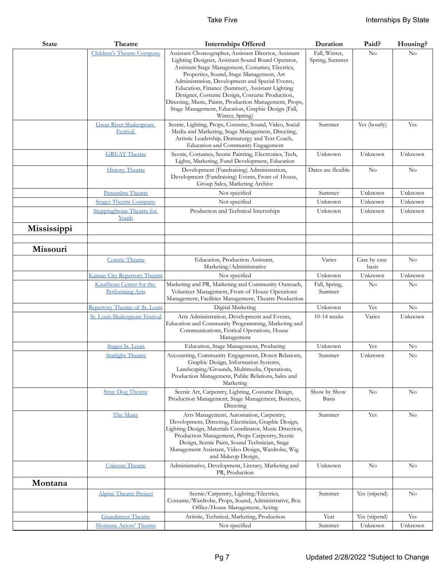| <b>State</b> | Theatre                                                      | <b>Internships Offered</b>                                                                                                                                                                                                                                                                                                                                                                                                                                                                                                                                        | Duration                                  | Paid?                 | Housing?  |
|--------------|--------------------------------------------------------------|-------------------------------------------------------------------------------------------------------------------------------------------------------------------------------------------------------------------------------------------------------------------------------------------------------------------------------------------------------------------------------------------------------------------------------------------------------------------------------------------------------------------------------------------------------------------|-------------------------------------------|-----------------------|-----------|
|              | Children's Theatre Company<br><b>Great River Shakespeare</b> | Assistant Choreographer, Assistant Director, Assistant<br>Lighting Designer, Assistant Sound Board Operator,<br>Assistant Stage Management, Costumes, Electrics,<br>Properties, Sound, Stage Management, Art<br>Administration, Development and Special Events,<br>Education, Finance (Summer), Assistant Lighting<br>Designer, Costume Design, Costume Production,<br>Directing, Music, Paints, Production Management, Props,<br>Stage Management, Education, Graphic Design (Fall,<br>Winter, Spring)<br>Scenic, Lighting, Props, Costume, Sound, Video, Social | Fall, Winter,<br>Spring, Summer<br>Summer | No<br>Yes (hourly)    | No<br>Yes |
|              | Festival                                                     | Media and Marketing, Stage Management, Directing,<br>Artistic Leadership, Dramaturgy and Text Coach,<br>Education and Community Engagement                                                                                                                                                                                                                                                                                                                                                                                                                        |                                           |                       |           |
|              | <b>GREAT</b> Theatre                                         | Scenic, Costumes, Scenic Painting, Electronics, Tech,<br>Lights, Marketing, Fund Development, Education                                                                                                                                                                                                                                                                                                                                                                                                                                                           | Unknown                                   | Unknown               | Unknown   |
|              | <b>History Theatre</b>                                       | Development (Fundraising) Administration,<br>Development (Fundraising) Events, Front of House,<br>Group Sales, Marketing Archive                                                                                                                                                                                                                                                                                                                                                                                                                                  | Dates are flexible                        | No                    | $\rm No$  |
|              | Penumbra Theatre                                             | Not specified                                                                                                                                                                                                                                                                                                                                                                                                                                                                                                                                                     | Summer                                    | Unknown               | Unknown   |
|              | <b>Stages Theatre Company</b>                                | Not specified                                                                                                                                                                                                                                                                                                                                                                                                                                                                                                                                                     | Unknown                                   | Unknown               | Unknown   |
|              | SteppingStone Theatre for<br>Youth                           | Production and Technical Internships                                                                                                                                                                                                                                                                                                                                                                                                                                                                                                                              | Unknown                                   | Unknown               | Unknown   |
| Mississippi  |                                                              |                                                                                                                                                                                                                                                                                                                                                                                                                                                                                                                                                                   |                                           |                       |           |
| Missouri     |                                                              |                                                                                                                                                                                                                                                                                                                                                                                                                                                                                                                                                                   |                                           |                       |           |
|              | Coterie Theatre                                              | Education, Production Assistant,<br>Marketing/Administrative                                                                                                                                                                                                                                                                                                                                                                                                                                                                                                      | Varies                                    | Case by case<br>basis | $\rm No$  |
|              | <b>Kansas City Repertory Theatre</b>                         | Not specified                                                                                                                                                                                                                                                                                                                                                                                                                                                                                                                                                     | Unknown                                   | Unknown               | Unknown   |
|              | Kauffman Center for the<br>Performing Arts                   | Marketing and PR, Marketing and Community Outreach,<br>Volunteer Management, Front of House Operations<br>Management, Facilities Management, Theatre Production                                                                                                                                                                                                                                                                                                                                                                                                   | Fall, Spring,<br>Summer                   | No                    | No        |
|              | Repertory Theatre of St. Louis                               | Digital Marketing                                                                                                                                                                                                                                                                                                                                                                                                                                                                                                                                                 | Unknown                                   | Yes                   | No        |
|              | St. Louis Shakespeare Festival                               | Arts Administration, Development and Events,<br>Education and Community Programming, Marketing and<br>Communications, Festival Operations, House<br>Management                                                                                                                                                                                                                                                                                                                                                                                                    | $10-14$ weeks                             | Varies                | Unknown   |
|              | <b>Stages St. Louis</b>                                      | Education, Stage Management, Producing                                                                                                                                                                                                                                                                                                                                                                                                                                                                                                                            | Unknown                                   | Yes                   | No        |
|              | <b>Starlight Theatre</b>                                     | Accounting, Community Engagement, Donor Relations,<br>Graphic Design, Information Systems,<br>Landscaping/Grounds, Multimedia, Operations,<br>Production Management, Public Relations, Sales and<br>Marketing                                                                                                                                                                                                                                                                                                                                                     | Summer                                    | Unknown               | $\rm No$  |
|              | <b>Stray Dog Theatre</b>                                     | Scenic Art, Carpentry, Lighting, Costume Design,<br>Production Management, Stage Management, Business,<br>Directing                                                                                                                                                                                                                                                                                                                                                                                                                                               | Show by Show<br><b>Basis</b>              | No                    | No        |
|              | The Muny                                                     | Arts Management, Automation, Carpentry,<br>Development, Directing, Electrician, Graphic Design,<br>Lighting Design, Materials Coordinator, Music Direction,<br>Production Management, Props Carpentry, Scenic<br>Design, Scenic Paint, Sound Technician, Stage<br>Management Assistant, Video Design, Wardrobe, Wig<br>and Makeup Design,                                                                                                                                                                                                                         | Summer                                    | Yes                   | $\rm No$  |
|              | <b>Unicorn</b> Theatre                                       | Administrative, Development, Literary, Marketing and<br>PR, Production                                                                                                                                                                                                                                                                                                                                                                                                                                                                                            | Unknown                                   | N <sub>o</sub>        | No        |
| Montana      |                                                              |                                                                                                                                                                                                                                                                                                                                                                                                                                                                                                                                                                   |                                           |                       |           |
|              | <b>Alpine Theatre Project</b>                                | Scenic/Carpentry, Lighting/Electrics,<br>Costume/Wardrobe, Props, Sound, Administrative, Box<br>Office/House Management, Acting                                                                                                                                                                                                                                                                                                                                                                                                                                   | Summer                                    | Yes (stipend)         | No        |
|              | <b>Grandstreet Theatre</b>                                   | Artistic, Technical, Marketing, Production                                                                                                                                                                                                                                                                                                                                                                                                                                                                                                                        | Year                                      | Yes (stipend)         | Yes       |
|              | Montana Actors' Theatre                                      | Not specified                                                                                                                                                                                                                                                                                                                                                                                                                                                                                                                                                     | Summer                                    | Unknown               | Unknown   |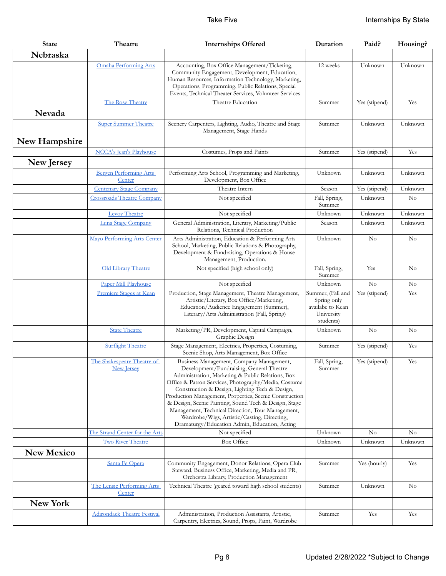| <b>State</b>      | Theatre                                         | <b>Internships Offered</b>                                                                                                                                                                                                                                                                                                                                                                                                                                                                                                  | Duration                                                                        | Paid?         | Housing?       |
|-------------------|-------------------------------------------------|-----------------------------------------------------------------------------------------------------------------------------------------------------------------------------------------------------------------------------------------------------------------------------------------------------------------------------------------------------------------------------------------------------------------------------------------------------------------------------------------------------------------------------|---------------------------------------------------------------------------------|---------------|----------------|
| Nebraska          |                                                 |                                                                                                                                                                                                                                                                                                                                                                                                                                                                                                                             |                                                                                 |               |                |
|                   | <b>Omaha Performing Arts</b>                    | Accounting, Box Office Management/Ticketing,<br>Community Engagement, Development, Education,<br>Human Resources, Information Technology, Marketing,<br>Operations, Programming, Public Relations, Special<br>Events, Technical Theater Services, Volunteer Services                                                                                                                                                                                                                                                        | 12 weeks                                                                        | Unknown       | Unknown        |
|                   | The Rose Theatre                                | Theatre Education                                                                                                                                                                                                                                                                                                                                                                                                                                                                                                           | Summer                                                                          | Yes (stipend) | Yes            |
| Nevada            |                                                 |                                                                                                                                                                                                                                                                                                                                                                                                                                                                                                                             |                                                                                 |               |                |
|                   | <b>Super Summer Theatre</b>                     | Scenery Carpenters, Lighting, Audio, Theatre and Stage<br>Management, Stage Hands                                                                                                                                                                                                                                                                                                                                                                                                                                           | Summer                                                                          | Unknown       | Unknown        |
| New Hampshire     |                                                 |                                                                                                                                                                                                                                                                                                                                                                                                                                                                                                                             |                                                                                 |               |                |
|                   | <b>NCCA's Jean's Playhouse</b>                  | Costumes, Props and Paints                                                                                                                                                                                                                                                                                                                                                                                                                                                                                                  | Summer                                                                          | Yes (stipend) | Yes            |
| New Jersey        |                                                 |                                                                                                                                                                                                                                                                                                                                                                                                                                                                                                                             |                                                                                 |               |                |
|                   | <b>Bergen Performing Arts</b><br>Center         | Performing Arts School, Programming and Marketing,<br>Development, Box Office                                                                                                                                                                                                                                                                                                                                                                                                                                               | Unknown                                                                         | Unknown       | Unknown        |
|                   | <b>Centenary Stage Company</b>                  | Theatre Intern                                                                                                                                                                                                                                                                                                                                                                                                                                                                                                              | Season                                                                          | Yes (stipend) | Unknown        |
|                   | <b>Crossroads Theatre Company</b>               | Not specified                                                                                                                                                                                                                                                                                                                                                                                                                                                                                                               | Fall, Spring,<br>Summer                                                         | Unknown       | $\rm No$       |
|                   | Levoy Theatre                                   | Not specified                                                                                                                                                                                                                                                                                                                                                                                                                                                                                                               | Unknown                                                                         | Unknown       | Unknown        |
|                   | Luna Stage Company                              | General Administration, Literary, Marketing/Public<br>Relations, Technical Production                                                                                                                                                                                                                                                                                                                                                                                                                                       | Season                                                                          | Unknown       | Unknown        |
|                   | <b>Mayo Performing Arts Center</b>              | Arts Administration, Education & Performing Arts<br>School, Marketing, Public Relations & Photography,<br>Development & Fundraising, Operations & House<br>Management, Production.                                                                                                                                                                                                                                                                                                                                          | Unknown                                                                         | $\rm No$      | $\rm No$       |
|                   | Old Library Theatre                             | Not specified (high school only)                                                                                                                                                                                                                                                                                                                                                                                                                                                                                            | Fall, Spring,<br>Summer                                                         | Yes           | N <sub>o</sub> |
|                   | Paper Mill Playhouse                            | Not specified                                                                                                                                                                                                                                                                                                                                                                                                                                                                                                               | Unknown                                                                         | $\rm No$      | No             |
|                   | Premiere Stages at Kean                         | Production, Stage Management, Theatre Management,<br>Artistic/Literary, Box Office/Marketing,<br>Education/Audience Engagement (Summer),<br>Literary/Arts Administration (Fall, Spring)                                                                                                                                                                                                                                                                                                                                     | Summer, (Fall and<br>Spring only<br>availabe to Kean<br>University<br>students) | Yes (stipend) | Yes            |
|                   | <b>State Theatre</b>                            | Marketing/PR, Development, Capital Campaign,<br>Graphic Design                                                                                                                                                                                                                                                                                                                                                                                                                                                              | Unknown                                                                         | $\rm No$      | $\rm No$       |
|                   | <b>Surflight Theatre</b>                        | Stage Management, Electrics, Properties, Costuming,<br>Scenic Shop, Arts Management, Box Office                                                                                                                                                                                                                                                                                                                                                                                                                             | Summer                                                                          | Yes (stipend) | Yes            |
|                   | The Shakespeare Theatre of<br><b>New Jersey</b> | Business Management, Company Management,<br>Development/Fundraising, General Theatre<br>Administration, Marketing & Public Relations, Box<br>Office & Patron Services, Photography/Media, Costume<br>Construction & Design, Lighting Tech & Design,<br>Production Management, Properties, Scenic Construction<br>& Design, Scenic Painting, Sound Tech & Design, Stage<br>Management, Technical Direction, Tour Management,<br>Wardrobe/Wigs, Artistic/Casting, Directing,<br>Dramaturgy/Education Admin, Education, Acting | Fall, Spring,<br>Summer                                                         | Yes (stipend) | Yes            |
|                   | The Strand Center for the Arts                  | Not specified                                                                                                                                                                                                                                                                                                                                                                                                                                                                                                               | Unknown                                                                         | No            | No             |
|                   | <b>Two River Theatre</b>                        | <b>Box Office</b>                                                                                                                                                                                                                                                                                                                                                                                                                                                                                                           | Unknown                                                                         | Unknown       | Unknown        |
| <b>New Mexico</b> |                                                 |                                                                                                                                                                                                                                                                                                                                                                                                                                                                                                                             |                                                                                 |               |                |
|                   | Santa Fe Opera                                  | Community Engagement, Donor Relations, Opera Club<br>Steward, Business Office, Marketing, Media and PR,<br>Orchestra Library, Production Management                                                                                                                                                                                                                                                                                                                                                                         | Summer                                                                          | Yes (hourly)  | Yes            |
|                   | The Lensic Performing Arts<br>Center            | Technical Theatre (geared toward high school students)                                                                                                                                                                                                                                                                                                                                                                                                                                                                      | Summer                                                                          | Unknown       | N <sub>0</sub> |
| New York          |                                                 |                                                                                                                                                                                                                                                                                                                                                                                                                                                                                                                             |                                                                                 |               |                |
|                   | <b>Adirondack Theatre Festival</b>              | Administration, Production Assistants, Artistic,<br>Carpentry, Electrics, Sound, Props, Paint, Wardrobe                                                                                                                                                                                                                                                                                                                                                                                                                     | Summer                                                                          | Yes           | Yes            |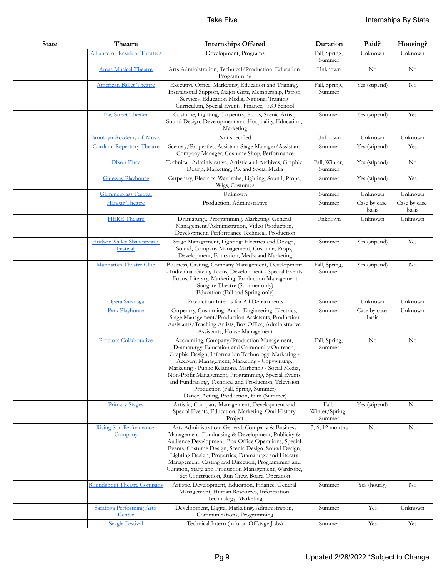| <b>State</b> | Theatre                                  | <b>Internships Offered</b>                                                                                                                                                                                                                                                                                                                                                                                                                                    | Duration                          | Paid?                 | Housing?              |
|--------------|------------------------------------------|---------------------------------------------------------------------------------------------------------------------------------------------------------------------------------------------------------------------------------------------------------------------------------------------------------------------------------------------------------------------------------------------------------------------------------------------------------------|-----------------------------------|-----------------------|-----------------------|
|              | <b>Alliance of Resident Theatres</b>     | Development, Programs                                                                                                                                                                                                                                                                                                                                                                                                                                         | Fall, Spring,<br>Summer           | Unknown               | Unknown               |
|              | <b>Amas Musical Theatre</b>              | Arts Administration, Technical/Production, Education<br>Programming                                                                                                                                                                                                                                                                                                                                                                                           | Unknown                           | $\rm No$              | $\rm No$              |
|              | <b>American Ballet Theatre</b>           | Executive Office, Marketing, Education and Training,<br>Institutional Support, Major Gifts, Membership, Patron<br>Services, Education Media, National Training<br>Curriculum, Special Events, Finance, JKO School                                                                                                                                                                                                                                             | Fall, Spring,<br>Summer           | Yes (stipend)         | $\rm No$              |
|              | <b>Bay Street Theater</b>                | Costume, Lighting, Carpentry, Props, Scenic Artist,<br>Sound Design, Development and Hospitality, Education,<br>Marketing                                                                                                                                                                                                                                                                                                                                     | Summer                            | Yes (stipend)         | Yes                   |
|              | <b>Brooklyn Academy of Music</b>         | Not specified                                                                                                                                                                                                                                                                                                                                                                                                                                                 | Unknown                           | Unknown               | Unknown               |
|              | <b>Cortland Repertory Theatre</b>        | Scenery/Properties, Assistant Stage Manager/Assistant<br>Company Manager, Costume Shop, Performance                                                                                                                                                                                                                                                                                                                                                           | Summer                            | Yes (stipend)         | Yes                   |
|              | Dixon Place                              | Technical, Administrative, Artistic and Archives, Graphic<br>Design, Marketing, PR and Social Media                                                                                                                                                                                                                                                                                                                                                           | Fall, Winter,<br>Summer           | Yes (stipend)         | No                    |
|              | <b>Gateway Playhouse</b>                 | Carpentry, Electrics, Wardrobe, Lighting, Sound, Props,<br>Wigs, Costumes                                                                                                                                                                                                                                                                                                                                                                                     | Summer                            | Yes (stipend)         | Yes                   |
|              | <b>Glimmerglass Festival</b>             | Unknown                                                                                                                                                                                                                                                                                                                                                                                                                                                       | Summer                            | Unknown               | Unknown               |
|              | <b>Hangar Theatre</b>                    | Production, Administrative                                                                                                                                                                                                                                                                                                                                                                                                                                    | Summer                            | Case by case<br>basis | Case by case<br>basis |
|              | <b>HERE</b> Theatre                      | Dramaturgy, Programming, Marketing, General<br>Management/Administration, Video Production,<br>Development, Performance Technical, Production                                                                                                                                                                                                                                                                                                                 | Unknown                           | Unknown               | Unknown               |
|              | Hudson Valley Shakespeare<br>Festival    | Stage Management, Lighting: Electrics and Design,<br>Sound, Company Management, Costume, Props,<br>Development, Education, Media and Marketing                                                                                                                                                                                                                                                                                                                | Summer                            | Yes (stipend)         | Yes                   |
|              | Manhattan Theatre Club                   | Business, Casting, Company Management, Development<br>- Individual Giving Focus, Development - Special Events<br>Focus, Literary, Marketing, Production Management<br>Stargate Theatre (Summer only)<br>Education (Fall and Spring only)                                                                                                                                                                                                                      | Fall, Spring,<br>Summer           | Yes (stipend)         | No                    |
|              | Opera Saratoga                           | Production Interns for All Departments                                                                                                                                                                                                                                                                                                                                                                                                                        | Summer                            | Unknown               | Unknown               |
|              | Park Playhouse                           | Carpentry, Costuming, Audio Engineering, Electrics,<br>Stage Management/Production Assistants, Production<br>Assistants/Teaching Artists, Box Office, Administrative<br>Assistants, House Management                                                                                                                                                                                                                                                          | Summer                            | Case by case<br>basis | Unknown               |
|              | <b>Proctors Collaborative</b>            | Accounting, Company/Production Management,<br>Dramaturgy, Education and Community Outreach,<br>Graphic Design, Information Technology, Marketing -<br>Account Management, Marketing - Copywriting,<br>Marketing - Public Relations, Marketing - Social Media,<br>Non-Profit Management, Programming, Special Events<br>and Fundraising, Technical and Production, Television<br>Production (Fall, Spring, Summer)<br>Dance, Acting, Production, Film (Summer) | Fall, Spring,<br>Summer           | N <sub>o</sub>        | No                    |
|              | <b>Primary Stages</b>                    | Artistic, Company Management, Development and<br>Special Events, Education, Marketing, Oral History<br>Project                                                                                                                                                                                                                                                                                                                                                | Fall,<br>Winter/Spring,<br>Summer | Yes (stipend)         | No                    |
|              | <b>Rising Sun Performance</b><br>Company | Arts Administration: General, Company & Business<br>Management, Fundraising & Development, Publicity &<br>Audience Development, Box Office Operations, Special<br>Events, Costume Design, Scenic Design, Sound Design,<br>Lighting Design, Properties, Dramaturgy and Literary<br>Management, Casting and Direction, Programming and<br>Curation, Stage and Production Management, Wardrobe,<br>Set Construction, Run Crew, Board Operation                   | 3, 6, 12 months                   | $\rm No$              | No                    |
|              | Roundabout Theatre Company               | Artistic, Development, Education, Finance, General<br>Management, Human Resources, Information<br>Technology, Marketing                                                                                                                                                                                                                                                                                                                                       | Summer                            | Yes (hourly)          | No                    |
|              | Saratoga Performing Arts<br>Center       | Development, Digital Marketing, Administration,<br>Communications, Programming                                                                                                                                                                                                                                                                                                                                                                                | Summer                            | Yes                   | Unknown               |
|              | <b>Seagle Festival</b>                   | Technical Intern (info on Offstage Jobs)                                                                                                                                                                                                                                                                                                                                                                                                                      | Summer                            | Yes                   | Yes                   |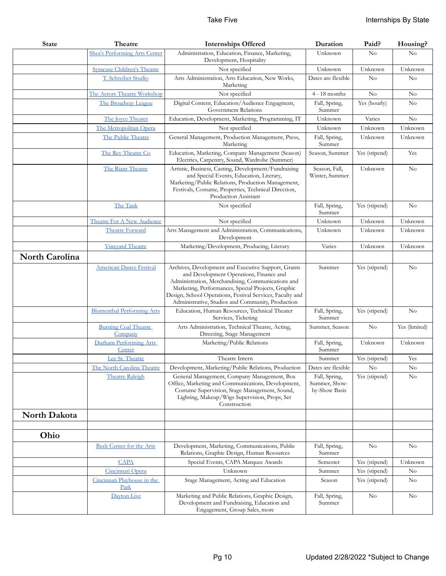| <b>State</b>          | Theatre                                | <b>Internships Offered</b>                                                                                                                                                                                                                                                                                                  | Duration                                        | Paid?         | Housing?      |
|-----------------------|----------------------------------------|-----------------------------------------------------------------------------------------------------------------------------------------------------------------------------------------------------------------------------------------------------------------------------------------------------------------------------|-------------------------------------------------|---------------|---------------|
|                       | Shea's Performing Arts Center          | Administration, Education, Finance, Marketing,<br>Development, Hospitality                                                                                                                                                                                                                                                  | Unknown                                         | $\rm No$      | No            |
|                       | <b>Syracuse Children's Theatre</b>     | Not specified                                                                                                                                                                                                                                                                                                               | Unknown                                         | Unknown       | Unknown       |
|                       | T. Schreiber Studio                    | Arts Administration, Arts Education, New Works,<br>Marketing                                                                                                                                                                                                                                                                | Dates are flexible                              | No            | No            |
|                       | The Actors Theatre Workshop            | Not specified                                                                                                                                                                                                                                                                                                               | $4 - 18$ months                                 | No            | No            |
|                       | The Broadway League                    | Digital Content, Education/Audience Engagment,<br>Government Relations                                                                                                                                                                                                                                                      | Fall, Spring,<br>Summer                         | Yes (hourly)  | $\rm No$      |
|                       | The Joyce Theater                      | Education, Development, Marketing, Programming, IT                                                                                                                                                                                                                                                                          | Unknown                                         | Varies        | No            |
|                       | The Metropolitan Opera                 | Not specified                                                                                                                                                                                                                                                                                                               | Unknown                                         | Unknown       | Unknown       |
|                       | The Public Theatre                     | General Management, Production Management, Press,<br>Marketing                                                                                                                                                                                                                                                              | Fall, Spring,<br>Summer                         | Unknown       | Unknown       |
|                       | The Rev Theatre Co                     | Education, Marketing, Company Management (Season)<br>Electrics, Carpentry, Sound, Wardrobe (Summer)                                                                                                                                                                                                                         | Season, Summer                                  | Yes (stipend) | Yes           |
|                       | The Riant Theatre                      | Artistic, Business, Casting, Development/Fundraising<br>and Special Events, Education, Literary,<br>Marketing/Public Relations, Production Management,<br>Festivals, Costume, Properties, Technical Direction,<br>Production Assistant                                                                                      | Season, Fall,<br>Winter, Summer                 | Unknown       | $\rm No$      |
|                       | The Tank                               | Not specified                                                                                                                                                                                                                                                                                                               | Fall, Spring,<br>Summer                         | Yes (stipend) | $\rm No$      |
|                       | Theatre For A New Audience             | Not specified                                                                                                                                                                                                                                                                                                               | Unknown                                         | Unknown       | Unknown       |
|                       | Theatre Forward                        | Arts Management and Administration, Communications,<br>Development                                                                                                                                                                                                                                                          | Unknown                                         | Unknown       | Unknown       |
|                       | <b>Vineyard Theatre</b>                | Marketing/Development, Producing, Literary                                                                                                                                                                                                                                                                                  | Varies                                          | Unknown       | Unknown       |
| <b>North Carolina</b> |                                        |                                                                                                                                                                                                                                                                                                                             |                                                 |               |               |
|                       | <b>American Dance Festival</b>         | Archives, Development and Executive Support, Grants<br>and Development Operations, Finance and<br>Administration, Merchandising, Communications and<br>Marketing, Performances, Special Projects, Graphic<br>Design, School Operations, Festival Services, Faculty and<br>Administrative, Studios and Community, Production | Summer                                          | Yes (stipend) | No            |
|                       | <b>Blumenthal Performing Arts</b>      | Education, Human Resources, Technical Theater<br>Services, Ticketing                                                                                                                                                                                                                                                        | Fall, Spring,<br>Summer                         | Yes (stipend) | No            |
|                       | <b>Burning Coal Theatre</b><br>Company | Arts Administration, Technical Theatre, Acting,<br>Directing, Stage Management                                                                                                                                                                                                                                              | Summer, Season                                  | No            | Yes (limited) |
|                       | Durham Performing Arts<br>Center       | Marketing/Public Relations                                                                                                                                                                                                                                                                                                  | Fall, Spring,<br>Summer                         | Unknown       | Unknown       |
|                       | Lee St. Theatre                        | Theatre Intern                                                                                                                                                                                                                                                                                                              | Summer                                          | Yes (stipend) | Yes           |
|                       | The North Carolina Theatre             | Development, Marketing/Public Relations, Production                                                                                                                                                                                                                                                                         | Dates are flexible                              | $\rm No$      | $\rm No$      |
|                       | <b>Theatre Raleigh</b>                 | General Management, Company Management, Box<br>Office, Marketing and Communications, Development,<br>Costume Supervision, Stage Management, Sound,<br>Lighting, Makeup/Wigs Supervision, Props, Set<br>Construction                                                                                                         | Fall, Spring,<br>Summer, Show-<br>by-Show Basis | Yes (stipend) | No            |
| North Dakota          |                                        |                                                                                                                                                                                                                                                                                                                             |                                                 |               |               |
|                       |                                        |                                                                                                                                                                                                                                                                                                                             |                                                 |               |               |
| Ohio                  |                                        |                                                                                                                                                                                                                                                                                                                             |                                                 |               |               |
|                       | <b>Beck Center for the Arts</b>        | Development, Marketing, Communications, Public<br>Relations, Graphic Design, Human Resources                                                                                                                                                                                                                                | Fall, Spring,<br>Summer                         | $\rm No$      | No            |
|                       | <b>CAPA</b>                            | Special Events, CAPA Marquee Awards                                                                                                                                                                                                                                                                                         | Semester                                        | Yes (stipend) | Unknown       |
|                       | Cincinnati Opera                       | Unknown                                                                                                                                                                                                                                                                                                                     | Summer                                          | Yes (stipend) | $\rm No$      |
|                       | Cincinnati Playhouse in the<br>Park    | Stage Management, Acting and Education                                                                                                                                                                                                                                                                                      | Season                                          | Yes (stipend) | $\rm No$      |
|                       | Dayton Live                            | Marketing and Public Relations, Graphic Design,<br>Development and Fundraising, Education and<br>Engagement, Group Sales, more                                                                                                                                                                                              | Fall, Spring,<br>Summer                         | No            | No            |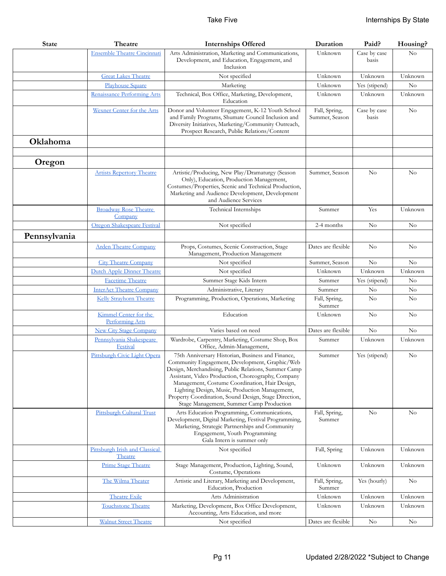| <b>State</b> | Theatre                                   | <b>Internships Offered</b>                                                                                                                                                                                                                                                                                                                                                                                                 | Duration                        | Paid?                 | Housing? |
|--------------|-------------------------------------------|----------------------------------------------------------------------------------------------------------------------------------------------------------------------------------------------------------------------------------------------------------------------------------------------------------------------------------------------------------------------------------------------------------------------------|---------------------------------|-----------------------|----------|
|              | <b>Ensemble Theatre Cincinnati</b>        | Arts Administration, Marketing and Communications,<br>Development, and Education, Engagement, and<br>Inclusion                                                                                                                                                                                                                                                                                                             | Unknown                         | Case by case<br>basis | No       |
|              | <b>Great Lakes Theatre</b>                | Not specified                                                                                                                                                                                                                                                                                                                                                                                                              | Unknown                         | Unknown               | Unknown  |
|              | <b>Playhouse Square</b>                   | Marketing                                                                                                                                                                                                                                                                                                                                                                                                                  | Unknown                         | Yes (stipend)         | $\rm No$ |
|              | Renaissance Performing Arts               | Technical, Box Office, Marketing, Development,<br>Education                                                                                                                                                                                                                                                                                                                                                                | Unknown                         | Unknown               | Unknown  |
|              | Wexner Center for the Arts                | Donor and Volunteer Engagement, K-12 Youth School<br>and Family Programs, Shumate Council Inclusion and<br>Diversity Initiatives, Marketing/Community Outreach,<br>Prospect Research, Public Relations/Content                                                                                                                                                                                                             | Fall, Spring,<br>Summer, Season | Case by case<br>basis | No       |
| Oklahoma     |                                           |                                                                                                                                                                                                                                                                                                                                                                                                                            |                                 |                       |          |
|              |                                           |                                                                                                                                                                                                                                                                                                                                                                                                                            |                                 |                       |          |
| Oregon       |                                           |                                                                                                                                                                                                                                                                                                                                                                                                                            |                                 |                       |          |
|              | <b>Artists Repertory Theatre</b>          | Artistic/Producing, New Play/Dramaturgy (Season<br>Only), Education, Production Management,<br>Costumes/Properties, Scenic and Technical Production,<br>Marketing and Audience Development, Development<br>and Audience Services                                                                                                                                                                                           | Summer, Season                  | No                    | No       |
|              | <b>Broadway Rose Theatre</b><br>Company   | Technical Internships                                                                                                                                                                                                                                                                                                                                                                                                      | Summer                          | Yes                   | Unknown  |
|              | Oregon Shakespeare Festival               | Not specified                                                                                                                                                                                                                                                                                                                                                                                                              | 2-4 months                      | $\rm No$              | No       |
| Pennsylvania |                                           |                                                                                                                                                                                                                                                                                                                                                                                                                            |                                 |                       |          |
|              | <b>Arden Theatre Company</b>              | Props, Costumes, Scenic Construction, Stage<br>Management, Production Management                                                                                                                                                                                                                                                                                                                                           | Dates are flexible              | $\rm No$              | No       |
|              | <b>City Theatre Company</b>               | Not specified                                                                                                                                                                                                                                                                                                                                                                                                              | Summer, Season                  | No                    | No       |
|              | Dutch Apple Dinner Theatre                | Not specified                                                                                                                                                                                                                                                                                                                                                                                                              | Unknown                         | Unknown               | Unknown  |
|              | <b>Facetime Theatre</b>                   | Summer Stage Kids Intern                                                                                                                                                                                                                                                                                                                                                                                                   | Summer                          | Yes (stipend)         | No       |
|              | <b>InterAct Theatre Company</b>           | Administrative, Literary                                                                                                                                                                                                                                                                                                                                                                                                   | Summer                          | $\rm No$              | $\rm No$ |
|              | Kelly Strayhorn Theatre                   | Programming, Production, Operations, Marketing                                                                                                                                                                                                                                                                                                                                                                             | Fall, Spring,<br>Summer         | No                    | No       |
|              | Kimmel Center for the<br>Performing Arts  | Education                                                                                                                                                                                                                                                                                                                                                                                                                  | Unknown                         | No                    | $\rm No$ |
|              | <b>New City Stage Company</b>             | Varies based on need                                                                                                                                                                                                                                                                                                                                                                                                       | Dates are flexible              | No                    | $\rm No$ |
|              | Pennsylvania Shakespeare<br>Festival      | Wardrobe, Carpentry, Marketing, Costume Shop, Box<br>Office, Admin-Management,                                                                                                                                                                                                                                                                                                                                             | Summer                          | Unknown               | Unknown  |
|              | Pittsburgh Civic Light Opera              | 75th Anniversary Historian, Business and Finance,<br>Community Engagement, Development, Graphic/Web<br>Design, Merchandising, Public Relations, Summer Camp<br>Assistant, Video Production, Choreography, Company<br>Management, Costume Coordination, Hair Design,<br>Lighting Design, Music, Production Management,<br>Property Coordination, Sound Design, Stage Direction,<br>Stage Management, Summer Camp Production | Summer                          | Yes (stipend)         | No       |
|              | <b>Pittsburgh Cultural Trust</b>          | Arts Education Programming, Communications,<br>Development, Digital Marketing, Festival Programming,<br>Marketing, Strategic Partnerships and Community<br>Engagement, Youth Programming<br>Gala Intern is summer only                                                                                                                                                                                                     | Fall, Spring,<br>Summer         | No                    | No       |
|              | Pittsburgh Irish and Classical<br>Theatre | Not specified                                                                                                                                                                                                                                                                                                                                                                                                              | Fall, Spring                    | Unknown               | Unknown  |
|              | <b>Prime Stage Theatre</b>                | Stage Management, Production, Lighting, Sound,<br>Costume, Operations                                                                                                                                                                                                                                                                                                                                                      | Unknown                         | Unknown               | Unknown  |
|              | The Wilma Theater                         | Artistic and Literary, Marketing and Development,<br>Education, Production                                                                                                                                                                                                                                                                                                                                                 | Fall, Spring,<br>Summer         | Yes (hourly)          | $\rm No$ |
|              | <b>Theatre Exile</b>                      | Arts Administration                                                                                                                                                                                                                                                                                                                                                                                                        | Unknown                         | Unknown               | Unknown  |
|              | <b>Touchstone Theatre</b>                 | Marketing, Development, Box Office Development,<br>Accounting, Arts Education, and more                                                                                                                                                                                                                                                                                                                                    | Unknown                         | Unknown               | Unknown  |
|              | <b>Walnut Street Theatre</b>              | Not specified                                                                                                                                                                                                                                                                                                                                                                                                              | Dates are flexible              | $\rm No$              | $\rm No$ |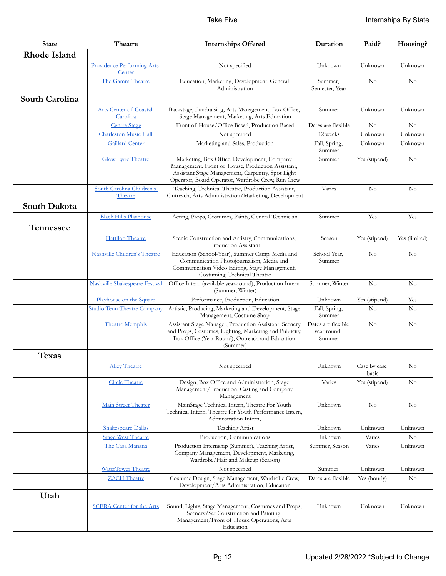| <b>State</b>        | Theatre                                   | <b>Internships Offered</b>                                                                                                                                                                                 | Duration                                    | Paid?                 | Housing?       |
|---------------------|-------------------------------------------|------------------------------------------------------------------------------------------------------------------------------------------------------------------------------------------------------------|---------------------------------------------|-----------------------|----------------|
| <b>Rhode Island</b> |                                           |                                                                                                                                                                                                            |                                             |                       |                |
|                     | Providence Performing Arts<br>Center      | Not specified                                                                                                                                                                                              | Unknown                                     | Unknown               | Unknown        |
|                     | The Gamm Theatre                          | Education, Marketing, Development, General<br>Administration                                                                                                                                               | Summer.<br>Semester, Year                   | No                    | N <sub>o</sub> |
| South Carolina      |                                           |                                                                                                                                                                                                            |                                             |                       |                |
|                     | <b>Arts Center of Coastal</b><br>Carolina | Backstage, Fundraising, Arts Management, Box Office,<br>Stage Management, Marketing, Arts Education                                                                                                        | Summer                                      | Unknown               | Unknown        |
|                     | <b>Centre Stage</b>                       | Front of House/Office Based, Production Based                                                                                                                                                              | Dates are flexible                          | No                    | No             |
|                     | <b>Charleston Music Hall</b>              | Not specified                                                                                                                                                                                              | 12 weeks                                    | Unknown               | Unknown        |
|                     | <b>Gaillard Center</b>                    | Marketing and Sales, Production                                                                                                                                                                            | Fall, Spring,<br>Summer                     | Unknown               | Unknown        |
|                     | <b>Glow Lyric Theatre</b>                 | Marketing, Box Office, Development, Company<br>Management, Front of House, Production Assistant,<br>Assistant Stage Management, Carpentry, Spot Light<br>Operator, Board Operator, Wardrobe Crew, Run Crew | Summer                                      | Yes (stipend)         | $\rm No$       |
|                     | South Carolina Children's<br>Theatre      | Teaching, Technical Theatre, Production Assistant,<br>Outreach, Arts Administration/Marketing, Development                                                                                                 | Varies                                      | $\rm No$              | No             |
| South Dakota        |                                           |                                                                                                                                                                                                            |                                             |                       |                |
|                     | <b>Black Hills Playhouse</b>              | Acting, Props, Costumes, Paints, General Technician                                                                                                                                                        | Summer                                      | Yes                   | Yes            |
| Tennessee           |                                           |                                                                                                                                                                                                            |                                             |                       |                |
|                     | Hattiloo Theatre                          | Scenic Construction and Artistry, Communications,<br>Production Assistant                                                                                                                                  | Season                                      | Yes (stipend)         | Yes (limited)  |
|                     | Nashville Children's Theatre              | Education (School-Year), Summer Camp, Media and<br>Communication Photojournalism, Media and<br>Communication Video Editing, Stage Management,<br>Costuming, Technical Theatre                              | School Year,<br>Summer                      | No                    | No             |
|                     | Nashville Shakespeare Festival            | Office Intern (available year-round), Production Intern<br>(Summer, Winter)                                                                                                                                | Summer, Winter                              | No                    | $\rm No$       |
|                     | Playhouse on the Square                   | Performance, Production, Education                                                                                                                                                                         | Unknown                                     | Yes (stipend)         | Yes            |
|                     | <b>Studio Tenn Theatre Company</b>        | Artistic, Producing, Marketing and Development, Stage<br>Management, Costume Shop                                                                                                                          | Fall, Spring,<br>Summer                     | $\rm No$              | N <sub>0</sub> |
|                     | <b>Theatre Memphis</b>                    | Assistant Stage Manager, Production Assistant, Scenery<br>and Props, Costumes, Lighting, Marketing and Publicity,<br>Box Office (Year Round), Outreach and Education<br>(Summer)                           | Dates are flexible<br>year round,<br>Summer | No                    | $\rm No$       |
| <b>Texas</b>        |                                           |                                                                                                                                                                                                            |                                             |                       |                |
|                     | <b>Alley Theatre</b>                      | Not specified                                                                                                                                                                                              | Unknown                                     | Case by case<br>basis | No             |
|                     | <b>Circle Theatre</b>                     | Design, Box Office and Administration, Stage<br>Management/Production, Casting and Company<br>Management                                                                                                   | Varies                                      | Yes (stipend)         | No             |
|                     | Main Street Theater                       | MainStage Technical Intern, Theatre For Youth<br>Technical Intern, Theatre for Youth Performance Intern,<br>Adminstration Intern,                                                                          | Unknown                                     | $\rm No$              | N <sub>0</sub> |
|                     | <b>Shakespeare Dallas</b>                 | Teaching Artist                                                                                                                                                                                            | Unknown                                     | Unknown               | Unknown        |
|                     | <b>Stage West Theatre</b>                 | Production, Communications                                                                                                                                                                                 | Unknown                                     | Varies                | $\rm No$       |
|                     | The Casa Manana                           | Production Internship (Summer), Teaching Artist,<br>Company Management, Development, Marketing,<br>Wardrobe/Hair and Makeup (Season)                                                                       | Summer, Season                              | Varies                | Unknown        |
|                     | WaterTower Theatre                        | Not specified                                                                                                                                                                                              | Summer                                      | Unknown               | Unknown        |
|                     | <b>ZACH</b> Theatre                       | Costume Design, Stage Management, Wardrobe Crew,<br>Development/Arts Administration, Education                                                                                                             | Dates are flexible                          | Yes (hourly)          | No             |
| Utah                |                                           |                                                                                                                                                                                                            |                                             |                       |                |
|                     | <b>SCERA Center for the Arts</b>          | Sound, Lights, Stage Management, Costumes and Props,<br>Scenery/Set Construction and Painting,<br>Management/Front of House Operations, Arts<br>Education                                                  | Unknown                                     | Unknown               | Unknown        |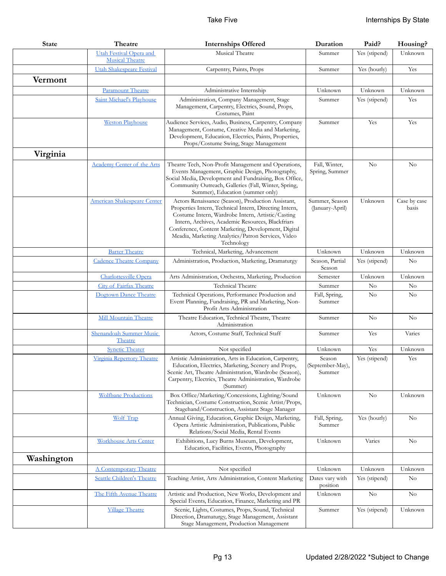| <b>State</b> | Theatre                                           | <b>Internships Offered</b>                                                                                                                                                                                                                                                                                                                        | Duration                             | Paid?         | Housing?              |
|--------------|---------------------------------------------------|---------------------------------------------------------------------------------------------------------------------------------------------------------------------------------------------------------------------------------------------------------------------------------------------------------------------------------------------------|--------------------------------------|---------------|-----------------------|
|              | Utah Festival Opera and<br><b>Musical Theatre</b> | Musical Theatre                                                                                                                                                                                                                                                                                                                                   | Summer                               | Yes (stipend) | Unknown               |
|              | Utah Shakespeare Festival                         | Carpentry, Paints, Props                                                                                                                                                                                                                                                                                                                          | Summer                               | Yes (hourly)  | Yes                   |
| Vermont      |                                                   |                                                                                                                                                                                                                                                                                                                                                   |                                      |               |                       |
|              | Paramount Theatre                                 | Administrative Internship                                                                                                                                                                                                                                                                                                                         | Unknown                              | Unknown       | Unknown               |
|              | Saint Michael's Playhouse                         | Administration, Company Management, Stage<br>Management, Carpentry, Electrics, Sound, Props,<br>Costumes, Paint                                                                                                                                                                                                                                   | Summer                               | Yes (stipend) | Yes                   |
|              | <b>Weston Playhouse</b>                           | Audience Services, Audio, Business, Carpentry, Company<br>Management, Costume, Creative Media and Marketing,<br>Development, Education, Electrics, Paints, Properties,<br>Props/Costume Swing, Stage Management                                                                                                                                   | Summer                               | Yes           | Yes                   |
| Virginia     |                                                   |                                                                                                                                                                                                                                                                                                                                                   |                                      |               |                       |
|              | Academy Center of the Arts                        | Theatre Tech, Non-Profit Management and Operations,<br>Events Management, Graphic Design, Photography,<br>Social Media, Development and Fundraising, Box Office,<br>Community Outreach, Galleries (Fall, Winter, Spring,<br>Summer), Education (summer only)                                                                                      | Fall, Winter,<br>Spring, Summer      | No            | No                    |
|              | <b>American Shakespeare Center</b>                | Actors Renaissance (Season), Production Assistant,<br>Properties Intern, Technical Intern, Directing Intern,<br>Costume Intern, Wardrobe Intern, Artistic/Casting<br>Intern, Archives, Academic Resources, Blackfriars<br>Conference, Content Marketing, Development, Digital<br>Meadia, Marketing Analytics/Patron Services, Video<br>Technology | Summer, Season<br>(January-April)    | Unknown       | Case by case<br>basis |
|              | <b>Barter Theatre</b>                             | Technical, Marketing, Advancement                                                                                                                                                                                                                                                                                                                 | Unknown                              | Unknown       | Unknown               |
|              | <b>Cadence Theatre Company</b>                    | Administration, Production, Marketing, Dramaturgy                                                                                                                                                                                                                                                                                                 | Season, Partial<br>Season            | Yes (stipend) | $\rm No$              |
|              | Charlottesville Opera                             | Arts Administration, Orchestra, Marketing, Production                                                                                                                                                                                                                                                                                             | Semester                             | Unknown       | Unknown               |
|              | City of Fairfax Theatre                           | Technical Theatre                                                                                                                                                                                                                                                                                                                                 | Summer                               | No            | $\rm No$              |
|              | Dogtown Dance Theatre                             | Technical Operations, Performance Production and<br>Event Planning, Fundraising, PR and Marketing, Non-<br>Profit Arts Administration                                                                                                                                                                                                             | Fall, Spring,<br>Summer              | $\rm No$      | $\rm No$              |
|              | <b>Mill Mountain Theatre</b>                      | Theatre Education, Technical Theatre, Theatre<br>Administration                                                                                                                                                                                                                                                                                   | Summer                               | No            | No                    |
|              | Shenandoah Summer Music<br>Theatre                | Actors, Costume Staff, Technical Staff                                                                                                                                                                                                                                                                                                            | Summer                               | Yes           | Varies                |
|              | <b>Synetic Theater</b>                            | Not specified                                                                                                                                                                                                                                                                                                                                     | Unknown                              | Yes           | Unknown               |
|              | Virginia Repertory Theatre                        | Artistic Administration, Arts in Education, Carpentry,<br>Education, Electrics, Marketing, Scenery and Props,<br>Scenic Art, Theatre Administration, Wardrobe (Season),<br>Carpentry, Electrics, Theatre Administration, Wardrobe<br>(Summer)                                                                                                     | Season<br>(September-May),<br>Summer | Yes (stipend) | Yes                   |
|              | <b>Wolfbane Productions</b>                       | Box Office/Marketing/Concessions, Lighting/Sound<br>Technician, Costume Construction, Scenic Artist/Props,<br>Stagehand/Construction, Assistant Stage Manager                                                                                                                                                                                     | Unknown                              | No            | Unknown               |
|              | Wolf Trap                                         | Annual Giving, Education, Graphic Design, Marketing,<br>Opera Artistic Administration, Publications, Public<br>Relations/Social Media, Rental Events                                                                                                                                                                                              | Fall, Spring,<br>Summer              | Yes (hourly)  | No                    |
|              | <b>Workhouse Arts Center</b>                      | Exhibitions, Lucy Burns Museum, Development,<br>Education, Facilities, Events, Photography                                                                                                                                                                                                                                                        | Unknown                              | Varies        | No                    |
| Washington   |                                                   |                                                                                                                                                                                                                                                                                                                                                   |                                      |               |                       |
|              | <b>A Contemporary Theatre</b>                     | Not specified                                                                                                                                                                                                                                                                                                                                     | Unknown                              | Unknown       | Unknown               |
|              | <b>Seattle Children's Theatre</b>                 | Teaching Artist, Arts Administration, Content Marketing                                                                                                                                                                                                                                                                                           | Dates vary with<br>position          | Yes (stipend) | $\rm No$              |
|              | The Fifth Avenue Theatre                          | Artistic and Production, New Works, Development and<br>Special Events, Education, Finance, Marketing and PR                                                                                                                                                                                                                                       | Unknown                              | No            | $\rm No$              |
|              | <b>Village Theatre</b>                            | Scenic, Lights, Costumes, Props, Sound, Technical<br>Direction, Dramaturgy, Stage Management, Assistant<br>Stage Management, Production Management                                                                                                                                                                                                | Summer                               | Yes (stipend) | Unknown               |